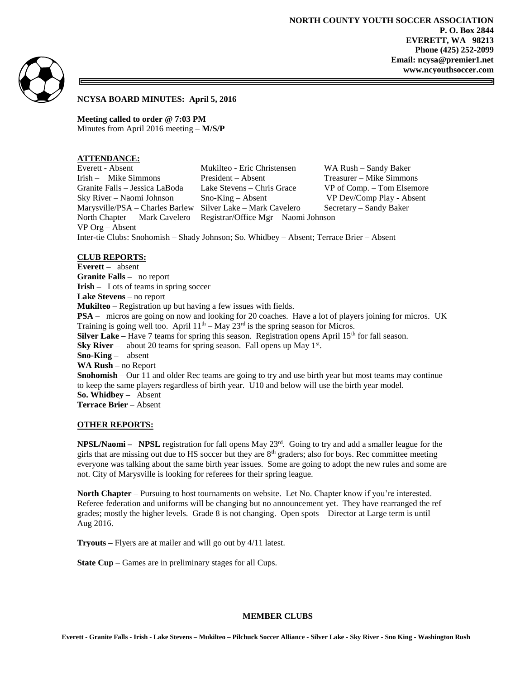

**NCYSA BOARD MINUTES: April 5, 2016**

**Meeting called to order @ 7:03 PM** Minutes from April 2016 meeting – **M/S/P**

# **ATTENDANCE:**

Everett - Absent Mukilteo - Eric Christensen WA Rush – Sandy Baker Irish – Mike Simmons President – Absent Treasurer – Mike Simmons Granite Falls – Jessica LaBoda Lake Stevens – Chris Grace VP of Comp. – Tom Elsemore Sky River – Naomi Johnson Sno-King – Absent VP Dev/Comp Play - Absent Marysville/PSA – Charles Barlew Silver Lake – Mark Cavelero Secretary – Sandy Baker North Chapter – Mark Cavelero Registrar/Office Mgr – Naomi Johnson VP Org – Absent Inter-tie Clubs: Snohomish – Shady Johnson; So. Whidbey – Absent; Terrace Brier – Absent

**CLUB REPORTS: Everett –** absent **Granite Falls –** no report **Irish –** Lots of teams in spring soccer **Lake Stevens** – no report **Mukilteo** – Registration up but having a few issues with fields. **PSA** – micros are going on now and looking for 20 coaches. Have a lot of players joining for micros. UK Training is going well too. April  $11<sup>th</sup> - May 23<sup>rd</sup>$  is the spring season for Micros. **Silver Lake** – Have 7 teams for spring this season. Registration opens April  $15<sup>th</sup>$  for fall season. **Sky River** – about 20 teams for spring season. Fall opens up May  $1<sup>st</sup>$ . **Sno-King –** absent **WA Rush –** no Report **Snohomish** – Our 11 and older Rec teams are going to try and use birth year but most teams may continue to keep the same players regardless of birth year. U10 and below will use the birth year model. **So. Whidbey –** Absent **Terrace Brier** – Absent

## **OTHER REPORTS:**

**NPSL/Naomi – NPSL** registration for fall opens May  $23<sup>rd</sup>$ . Going to try and add a smaller league for the girls that are missing out due to HS soccer but they are 8th graders; also for boys. Rec committee meeting everyone was talking about the same birth year issues. Some are going to adopt the new rules and some are not. City of Marysville is looking for referees for their spring league.

**North Chapter** – Pursuing to host tournaments on website. Let No. Chapter know if you're interested. Referee federation and uniforms will be changing but no announcement yet. They have rearranged the ref grades; mostly the higher levels. Grade 8 is not changing. Open spots – Director at Large term is until Aug 2016.

**Tryouts –** Flyers are at mailer and will go out by 4/11 latest.

**State Cup** – Games are in preliminary stages for all Cups.

#### **MEMBER CLUBS**